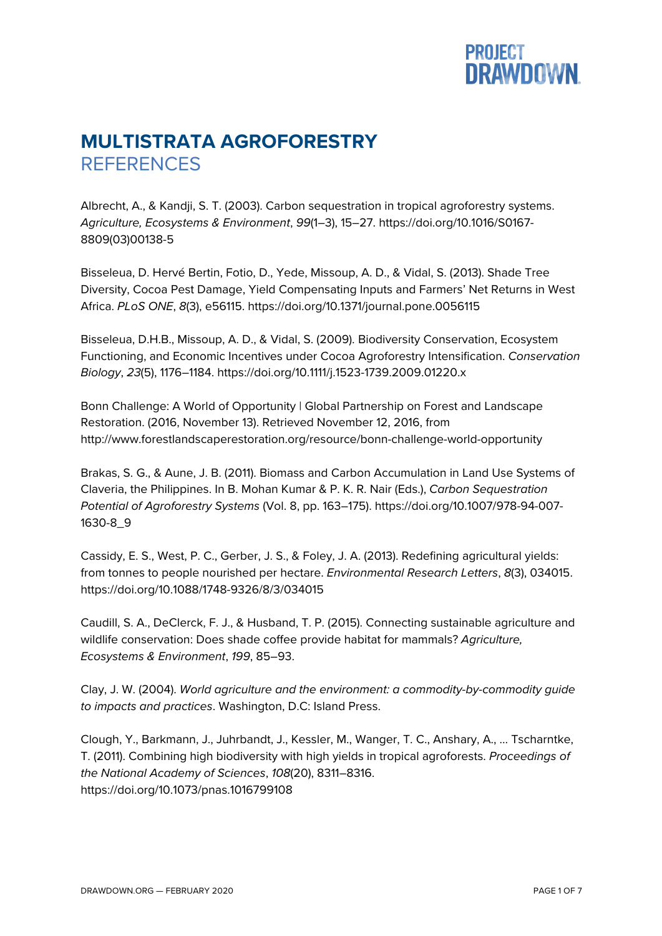## **PROJECT<br>DRAWDOWN.**

## **MULTISTRATA AGROFORESTRY REFERENCES**

Albrecht, A., & Kandji, S. T. (2003). Carbon sequestration in tropical agroforestry systems. *Agriculture, Ecosystems & Environment*, *99*(1–3), 15–27. https://doi.org/10.1016/S0167- 8809(03)00138-5

Bisseleua, D. Hervé Bertin, Fotio, D., Yede, Missoup, A. D., & Vidal, S. (2013). Shade Tree Diversity, Cocoa Pest Damage, Yield Compensating Inputs and Farmers' Net Returns in West Africa. *PLoS ONE*, *8*(3), e56115. https://doi.org/10.1371/journal.pone.0056115

Bisseleua, D.H.B., Missoup, A. D., & Vidal, S. (2009). Biodiversity Conservation, Ecosystem Functioning, and Economic Incentives under Cocoa Agroforestry Intensification. *Conservation Biology*, *23*(5), 1176–1184. https://doi.org/10.1111/j.1523-1739.2009.01220.x

Bonn Challenge: A World of Opportunity | Global Partnership on Forest and Landscape Restoration. (2016, November 13). Retrieved November 12, 2016, from http://www.forestlandscaperestoration.org/resource/bonn-challenge-world-opportunity

Brakas, S. G., & Aune, J. B. (2011). Biomass and Carbon Accumulation in Land Use Systems of Claveria, the Philippines. In B. Mohan Kumar & P. K. R. Nair (Eds.), *Carbon Sequestration Potential of Agroforestry Systems* (Vol. 8, pp. 163–175). https://doi.org/10.1007/978-94-007- 1630-8\_9

Cassidy, E. S., West, P. C., Gerber, J. S., & Foley, J. A. (2013). Redefining agricultural yields: from tonnes to people nourished per hectare. *Environmental Research Letters*, *8*(3), 034015. https://doi.org/10.1088/1748-9326/8/3/034015

Caudill, S. A., DeClerck, F. J., & Husband, T. P. (2015). Connecting sustainable agriculture and wildlife conservation: Does shade coffee provide habitat for mammals? *Agriculture, Ecosystems & Environment*, *199*, 85–93.

Clay, J. W. (2004). *World agriculture and the environment: a commodity-by-commodity guide to impacts and practices*. Washington, D.C: Island Press.

Clough, Y., Barkmann, J., Juhrbandt, J., Kessler, M., Wanger, T. C., Anshary, A., … Tscharntke, T. (2011). Combining high biodiversity with high yields in tropical agroforests. *Proceedings of the National Academy of Sciences*, *108*(20), 8311–8316. https://doi.org/10.1073/pnas.1016799108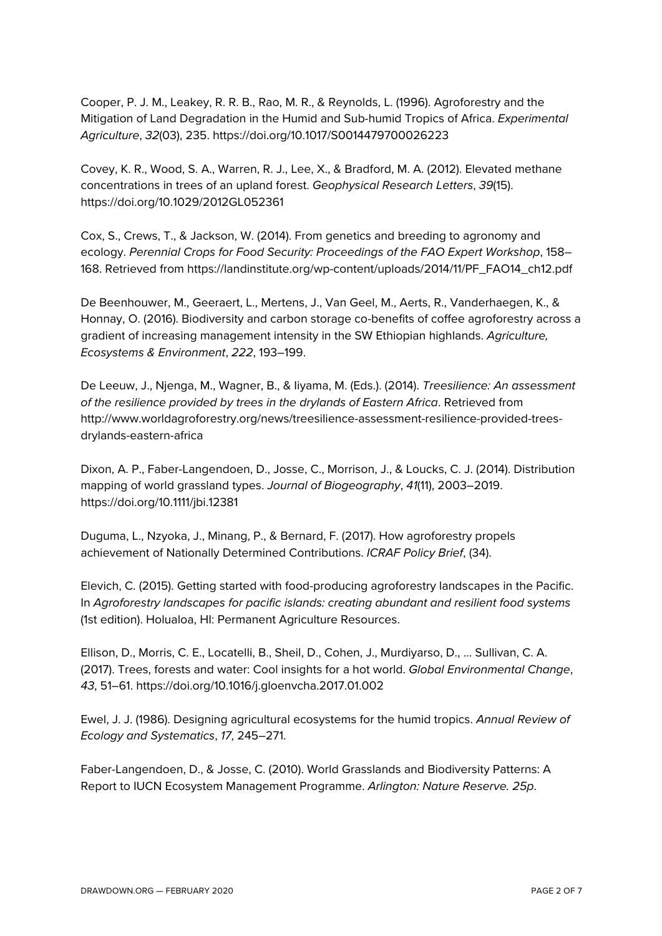Cooper, P. J. M., Leakey, R. R. B., Rao, M. R., & Reynolds, L. (1996). Agroforestry and the Mitigation of Land Degradation in the Humid and Sub-humid Tropics of Africa. *Experimental Agriculture*, *32*(03), 235. https://doi.org/10.1017/S0014479700026223

Covey, K. R., Wood, S. A., Warren, R. J., Lee, X., & Bradford, M. A. (2012). Elevated methane concentrations in trees of an upland forest. *Geophysical Research Letters*, *39*(15). https://doi.org/10.1029/2012GL052361

Cox, S., Crews, T., & Jackson, W. (2014). From genetics and breeding to agronomy and ecology. *Perennial Crops for Food Security: Proceedings of the FAO Expert Workshop*, 158– 168. Retrieved from https://landinstitute.org/wp-content/uploads/2014/11/PF\_FAO14\_ch12.pdf

De Beenhouwer, M., Geeraert, L., Mertens, J., Van Geel, M., Aerts, R., Vanderhaegen, K., & Honnay, O. (2016). Biodiversity and carbon storage co-benefits of coffee agroforestry across a gradient of increasing management intensity in the SW Ethiopian highlands. *Agriculture, Ecosystems & Environment*, *222*, 193–199.

De Leeuw, J., Njenga, M., Wagner, B., & Iiyama, M. (Eds.). (2014). *Treesilience: An assessment of the resilience provided by trees in the drylands of Eastern Africa*. Retrieved from http://www.worldagroforestry.org/news/treesilience-assessment-resilience-provided-treesdrylands-eastern-africa

Dixon, A. P., Faber-Langendoen, D., Josse, C., Morrison, J., & Loucks, C. J. (2014). Distribution mapping of world grassland types. *Journal of Biogeography*, *41*(11), 2003–2019. https://doi.org/10.1111/jbi.12381

Duguma, L., Nzyoka, J., Minang, P., & Bernard, F. (2017). How agroforestry propels achievement of Nationally Determined Contributions. *ICRAF Policy Brief*, (34).

Elevich, C. (2015). Getting started with food-producing agroforestry landscapes in the Pacific. In *Agroforestry landscapes for pacific islands: creating abundant and resilient food systems* (1st edition). Holualoa, HI: Permanent Agriculture Resources.

Ellison, D., Morris, C. E., Locatelli, B., Sheil, D., Cohen, J., Murdiyarso, D., … Sullivan, C. A. (2017). Trees, forests and water: Cool insights for a hot world. *Global Environmental Change*, *43*, 51–61. https://doi.org/10.1016/j.gloenvcha.2017.01.002

Ewel, J. J. (1986). Designing agricultural ecosystems for the humid tropics. *Annual Review of Ecology and Systematics*, *17*, 245–271.

Faber-Langendoen, D., & Josse, C. (2010). World Grasslands and Biodiversity Patterns: A Report to IUCN Ecosystem Management Programme. *Arlington: Nature Reserve. 25p*.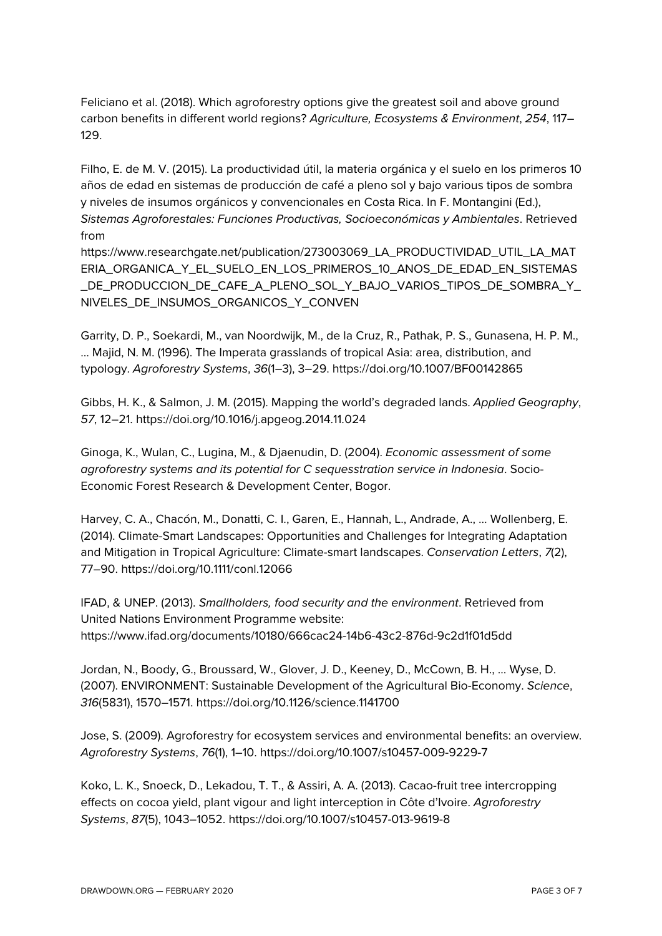Feliciano et al. (2018). Which agroforestry options give the greatest soil and above ground carbon benefits in different world regions? *Agriculture, Ecosystems & Environment*, *254*, 117– 129.

Filho, E. de M. V. (2015). La productividad útil, la materia orgánica y el suelo en los primeros 10 años de edad en sistemas de producción de café a pleno sol y bajo various tipos de sombra y niveles de insumos orgánicos y convencionales en Costa Rica. In F. Montangini (Ed.), *Sistemas Agroforestales: Funciones Productivas, Socioeconómicas y Ambientales*. Retrieved from

https://www.researchgate.net/publication/273003069\_LA\_PRODUCTIVIDAD\_UTIL\_LA\_MAT ERIA\_ORGANICA\_Y\_EL\_SUELO\_EN\_LOS\_PRIMEROS\_10\_ANOS\_DE\_EDAD\_EN\_SISTEMAS \_DE\_PRODUCCION\_DE\_CAFE\_A\_PLENO\_SOL\_Y\_BAJO\_VARIOS\_TIPOS\_DE\_SOMBRA\_Y\_ NIVELES\_DE\_INSUMOS\_ORGANICOS\_Y\_CONVEN

Garrity, D. P., Soekardi, M., van Noordwijk, M., de la Cruz, R., Pathak, P. S., Gunasena, H. P. M., … Majid, N. M. (1996). The Imperata grasslands of tropical Asia: area, distribution, and typology. *Agroforestry Systems*, *36*(1–3), 3–29. https://doi.org/10.1007/BF00142865

Gibbs, H. K., & Salmon, J. M. (2015). Mapping the world's degraded lands. *Applied Geography*, *57*, 12–21. https://doi.org/10.1016/j.apgeog.2014.11.024

Ginoga, K., Wulan, C., Lugina, M., & Djaenudin, D. (2004). *Economic assessment of some agroforestry systems and its potential for C sequesstration service in Indonesia*. Socio-Economic Forest Research & Development Center, Bogor.

Harvey, C. A., Chacón, M., Donatti, C. I., Garen, E., Hannah, L., Andrade, A., … Wollenberg, E. (2014). Climate-Smart Landscapes: Opportunities and Challenges for Integrating Adaptation and Mitigation in Tropical Agriculture: Climate-smart landscapes. *Conservation Letters*, *7*(2), 77–90. https://doi.org/10.1111/conl.12066

IFAD, & UNEP. (2013). *Smallholders, food security and the environment*. Retrieved from United Nations Environment Programme website: https://www.ifad.org/documents/10180/666cac24-14b6-43c2-876d-9c2d1f01d5dd

Jordan, N., Boody, G., Broussard, W., Glover, J. D., Keeney, D., McCown, B. H., … Wyse, D. (2007). ENVIRONMENT: Sustainable Development of the Agricultural Bio-Economy. *Science*, *316*(5831), 1570–1571. https://doi.org/10.1126/science.1141700

Jose, S. (2009). Agroforestry for ecosystem services and environmental benefits: an overview. *Agroforestry Systems*, *76*(1), 1–10. https://doi.org/10.1007/s10457-009-9229-7

Koko, L. K., Snoeck, D., Lekadou, T. T., & Assiri, A. A. (2013). Cacao-fruit tree intercropping effects on cocoa yield, plant vigour and light interception in Côte d'Ivoire. *Agroforestry Systems*, *87*(5), 1043–1052. https://doi.org/10.1007/s10457-013-9619-8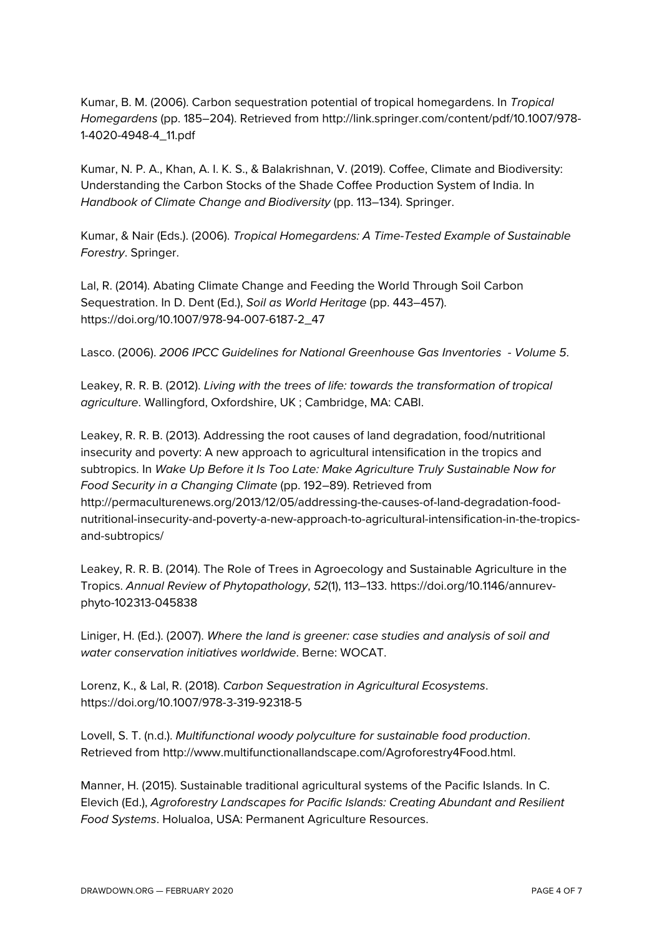Kumar, B. M. (2006). Carbon sequestration potential of tropical homegardens. In *Tropical Homegardens* (pp. 185–204). Retrieved from http://link.springer.com/content/pdf/10.1007/978- 1-4020-4948-4\_11.pdf

Kumar, N. P. A., Khan, A. I. K. S., & Balakrishnan, V. (2019). Coffee, Climate and Biodiversity: Understanding the Carbon Stocks of the Shade Coffee Production System of India. In *Handbook of Climate Change and Biodiversity* (pp. 113–134). Springer.

Kumar, & Nair (Eds.). (2006). *Tropical Homegardens: A Time-Tested Example of Sustainable Forestry*. Springer.

Lal, R. (2014). Abating Climate Change and Feeding the World Through Soil Carbon Sequestration. In D. Dent (Ed.), *Soil as World Heritage* (pp. 443–457). https://doi.org/10.1007/978-94-007-6187-2\_47

Lasco. (2006). *2006 IPCC Guidelines for National Greenhouse Gas Inventories - Volume 5*.

Leakey, R. R. B. (2012). *Living with the trees of life: towards the transformation of tropical agriculture*. Wallingford, Oxfordshire, UK ; Cambridge, MA: CABI.

Leakey, R. R. B. (2013). Addressing the root causes of land degradation, food/nutritional insecurity and poverty: A new approach to agricultural intensification in the tropics and subtropics. In *Wake Up Before it Is Too Late: Make Agriculture Truly Sustainable Now for Food Security in a Changing Climate* (pp. 192–89). Retrieved from http://permaculturenews.org/2013/12/05/addressing-the-causes-of-land-degradation-foodnutritional-insecurity-and-poverty-a-new-approach-to-agricultural-intensification-in-the-tropicsand-subtropics/

Leakey, R. R. B. (2014). The Role of Trees in Agroecology and Sustainable Agriculture in the Tropics. *Annual Review of Phytopathology*, *52*(1), 113–133. https://doi.org/10.1146/annurevphyto-102313-045838

Liniger, H. (Ed.). (2007). *Where the land is greener: case studies and analysis of soil and water conservation initiatives worldwide*. Berne: WOCAT.

Lorenz, K., & Lal, R. (2018). *Carbon Sequestration in Agricultural Ecosystems*. https://doi.org/10.1007/978-3-319-92318-5

Lovell, S. T. (n.d.). *Multifunctional woody polyculture for sustainable food production*. Retrieved from http://www.multifunctionallandscape.com/Agroforestry4Food.html.

Manner, H. (2015). Sustainable traditional agricultural systems of the Pacific Islands. In C. Elevich (Ed.), *Agroforestry Landscapes for Pacific Islands: Creating Abundant and Resilient Food Systems*. Holualoa, USA: Permanent Agriculture Resources.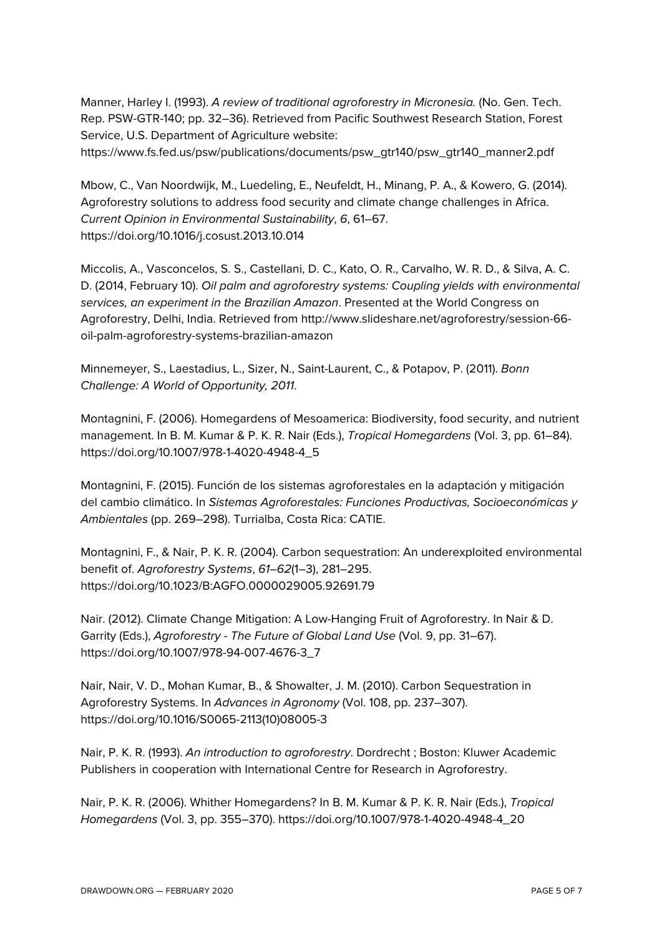Manner, Harley I. (1993). *A review of traditional agroforestry in Micronesia.* (No. Gen. Tech. Rep. PSW-GTR-140; pp. 32–36). Retrieved from Pacific Southwest Research Station, Forest Service, U.S. Department of Agriculture website:

https://www.fs.fed.us/psw/publications/documents/psw\_gtr140/psw\_gtr140\_manner2.pdf

Mbow, C., Van Noordwijk, M., Luedeling, E., Neufeldt, H., Minang, P. A., & Kowero, G. (2014). Agroforestry solutions to address food security and climate change challenges in Africa. *Current Opinion in Environmental Sustainability*, *6*, 61–67. https://doi.org/10.1016/j.cosust.2013.10.014

Miccolis, A., Vasconcelos, S. S., Castellani, D. C., Kato, O. R., Carvalho, W. R. D., & Silva, A. C. D. (2014, February 10). *Oil palm and agroforestry systems: Coupling yields with environmental services, an experiment in the Brazilian Amazon*. Presented at the World Congress on Agroforestry, Delhi, India. Retrieved from http://www.slideshare.net/agroforestry/session-66 oil-palm-agroforestry-systems-brazilian-amazon

Minnemeyer, S., Laestadius, L., Sizer, N., Saint-Laurent, C., & Potapov, P. (2011). *Bonn Challenge: A World of Opportunity, 2011*.

Montagnini, F. (2006). Homegardens of Mesoamerica: Biodiversity, food security, and nutrient management. In B. M. Kumar & P. K. R. Nair (Eds.), *Tropical Homegardens* (Vol. 3, pp. 61–84). https://doi.org/10.1007/978-1-4020-4948-4\_5

Montagnini, F. (2015). Función de los sistemas agroforestales en la adaptación y mitigación del cambio climático. In *Sistemas Agroforestales: Funciones Productivas, Socioeconómicas y Ambientales* (pp. 269–298). Turrialba, Costa Rica: CATIE.

Montagnini, F., & Nair, P. K. R. (2004). Carbon sequestration: An underexploited environmental benefit of. *Agroforestry Systems*, *61*–*62*(1–3), 281–295. https://doi.org/10.1023/B:AGFO.0000029005.92691.79

Nair. (2012). Climate Change Mitigation: A Low-Hanging Fruit of Agroforestry. In Nair & D. Garrity (Eds.), *Agroforestry - The Future of Global Land Use* (Vol. 9, pp. 31–67). https://doi.org/10.1007/978-94-007-4676-3\_7

Nair, Nair, V. D., Mohan Kumar, B., & Showalter, J. M. (2010). Carbon Sequestration in Agroforestry Systems. In *Advances in Agronomy* (Vol. 108, pp. 237–307). https://doi.org/10.1016/S0065-2113(10)08005-3

Nair, P. K. R. (1993). *An introduction to agroforestry*. Dordrecht ; Boston: Kluwer Academic Publishers in cooperation with International Centre for Research in Agroforestry.

Nair, P. K. R. (2006). Whither Homegardens? In B. M. Kumar & P. K. R. Nair (Eds.), *Tropical Homegardens* (Vol. 3, pp. 355–370). https://doi.org/10.1007/978-1-4020-4948-4\_20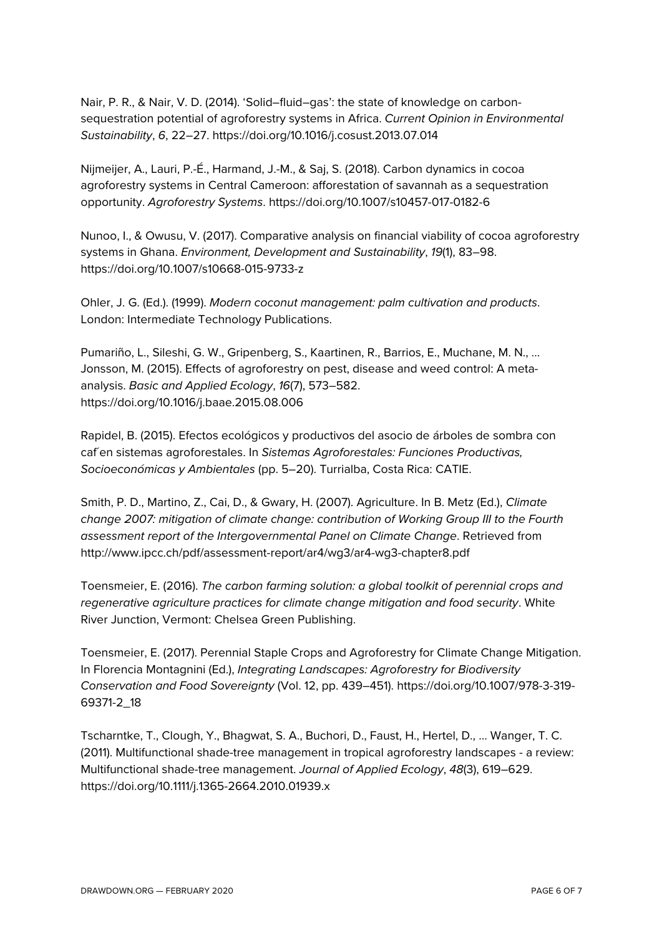Nair, P. R., & Nair, V. D. (2014). 'Solid–fluid–gas': the state of knowledge on carbonsequestration potential of agroforestry systems in Africa. *Current Opinion in Environmental Sustainability*, *6*, 22–27. https://doi.org/10.1016/j.cosust.2013.07.014

Nijmeijer, A., Lauri, P.-É., Harmand, J.-M., & Saj, S. (2018). Carbon dynamics in cocoa agroforestry systems in Central Cameroon: afforestation of savannah as a sequestration opportunity. *Agroforestry Systems*. https://doi.org/10.1007/s10457-017-0182-6

Nunoo, I., & Owusu, V. (2017). Comparative analysis on financial viability of cocoa agroforestry systems in Ghana. *Environment, Development and Sustainability*, *19*(1), 83–98. https://doi.org/10.1007/s10668-015-9733-z

Ohler, J. G. (Ed.). (1999). *Modern coconut management: palm cultivation and products*. London: Intermediate Technology Publications.

Pumariño, L., Sileshi, G. W., Gripenberg, S., Kaartinen, R., Barrios, E., Muchane, M. N., … Jonsson, M. (2015). Effects of agroforestry on pest, disease and weed control: A metaanalysis. *Basic and Applied Ecology*, *16*(7), 573–582. https://doi.org/10.1016/j.baae.2015.08.006

Rapidel, B. (2015). Efectos ecológicos y productivos del asocio de árboles de sombra con caf´en sistemas agroforestales. In *Sistemas Agroforestales: Funciones Productivas, Socioeconómicas y Ambientales* (pp. 5–20). Turrialba, Costa Rica: CATIE.

Smith, P. D., Martino, Z., Cai, D., & Gwary, H. (2007). Agriculture. In B. Metz (Ed.), *Climate change 2007: mitigation of climate change: contribution of Working Group III to the Fourth assessment report of the Intergovernmental Panel on Climate Change*. Retrieved from http://www.ipcc.ch/pdf/assessment-report/ar4/wg3/ar4-wg3-chapter8.pdf

Toensmeier, E. (2016). *The carbon farming solution: a global toolkit of perennial crops and regenerative agriculture practices for climate change mitigation and food security*. White River Junction, Vermont: Chelsea Green Publishing.

Toensmeier, E. (2017). Perennial Staple Crops and Agroforestry for Climate Change Mitigation. In Florencia Montagnini (Ed.), *Integrating Landscapes: Agroforestry for Biodiversity Conservation and Food Sovereignty* (Vol. 12, pp. 439–451). https://doi.org/10.1007/978-3-319- 69371-2\_18

Tscharntke, T., Clough, Y., Bhagwat, S. A., Buchori, D., Faust, H., Hertel, D., … Wanger, T. C. (2011). Multifunctional shade-tree management in tropical agroforestry landscapes - a review: Multifunctional shade-tree management. *Journal of Applied Ecology*, *48*(3), 619–629. https://doi.org/10.1111/j.1365-2664.2010.01939.x